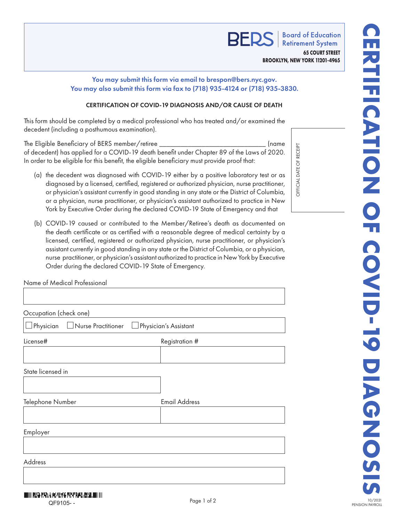

**Board of Education Retirement System 65 COURT STREET BROOKLYN, NEW YORK 11201-4965**

## You may submit this form via email to brespon@bers.nyc.gov. You may also submit this form via fax to (718) 935-4124 or (718) 935-3830.

## CERTIFICATION OF COVID-19 DIAGNOSIS AND/OR CAUSE OF DEATH

This form should be completed by a medical professional who has treated and/or examined the decedent (including a posthumous examination).

The Eligible Beneficiary of BERS member/retiree \_\_\_\_\_\_\_\_\_\_\_\_\_\_\_\_\_\_\_\_\_\_\_\_\_\_\_\_\_\_ (name of decedent) has applied for a COVID-19 death benefit under Chapter 89 of the Laws of 2020. In order to be eligible for this benefit, the eligible beneficiary must provide proof that:

- (a) the decedent was diagnosed with COVID-19 either by a positive laboratory test or as diagnosed by a licensed, certified, registered or authorized physician, nurse practitioner, or physician's assistant currently in good standing in any state or the District of Columbia, or a physician, nurse practitioner, or physician's assistant authorized to practice in New York by Executive Order during the declared COVID-19 State of Emergency and that
- (b) COVID-19 caused or contributed to the Member/Retiree's death as documented on the death certificate or as certified with a reasonable degree of medical certainty by a licensed, certified, registered or authorized physician, nurse practitioner, or physician's assistant currently in good standing in any state or the District of Columbia, or a physician, nurse practitioner, or physician's assistant authorized to practice in New York by Executive Order during the declared COVID-19 State of Emergency.

| Name of Medical Professional                             |                      |
|----------------------------------------------------------|----------------------|
|                                                          |                      |
| Occupation (check one)                                   |                      |
| Nurse Practitioner<br>Physician<br>Physician's Assistant |                      |
| License#                                                 | Registration #       |
|                                                          |                      |
| State licensed in                                        |                      |
|                                                          |                      |
| Telephone Number                                         | <b>Email Address</b> |
|                                                          |                      |
| Employer                                                 |                      |
|                                                          |                      |
| Address                                                  |                      |
|                                                          |                      |
|                                                          |                      |

RECEIPT OFFICIAL DATE OF RECEIPT  $\overline{\overline{6}}$ *OFFICIAL DATE*